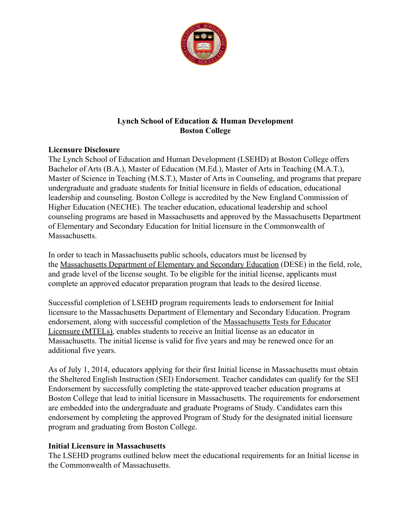

### **Licensure Disclosure**

The Lynch School of Education and Human Development (LSEHD) at Boston College offers Bachelor of Arts (B.A.), Master of Education (M.Ed.), Master of Arts in Teaching (M.A.T.), Master of Science in Teaching (M.S.T.), Master of Arts in Counseling, and programs that prepare undergraduate and graduate students for Initial licensure in fields of education, educational leadership and counseling. Boston College is accredited by the New England Commission of Higher Education (NECHE). The teacher education, educational leadership and school counseling programs are based in Massachusetts and approved by the Massachusetts Department of Elementary and Secondary Education for Initial licensure in the Commonwealth of **Massachusetts** 

In order to teach in Massachusetts public schools, educators must be licensed by the [Massachusetts Department of Elementary and Secondary](https://www.doe.mass.edu/licensure/) Education (DESE) in the field, role, and grade level of the license sought. To be eligible for the initial license, applicants must complete an approved educator preparation program that leads to the desired license.

Successful completion of LSEHD program requirements leads to endorsement for Initial licensure to the Massachusetts Department of Elementary and Secondary Education. Program endorsement, along with successful completion of the Massachusetts [Tests for Educator](http://www.doe.mass.edu/mtel/) [Licensure \(MTELs\),](http://www.doe.mass.edu/mtel/) enables students to receive an Initial license as an educator in Massachusetts. The initial license is valid for five years and may be renewed once for an additional five years.

As of July 1, 2014, educators applying for their first Initial license in Massachusetts must obtain the Sheltered English Instruction (SEI) Endorsement. Teacher candidates can qualify for the SEI Endorsement by successfully completing the state-approved teacher education programs at Boston College that lead to initial licensure in Massachusetts. The requirements for endorsement are embedded into the undergraduate and graduate Programs of Study. Candidates earn this endorsement by completing the approved Program of Study for the designated initial licensure program and graduating from Boston College.

#### **Initial Licensure in Massachusetts**

The LSEHD programs outlined below meet the educational requirements for an Initial license in the Commonwealth of Massachusetts.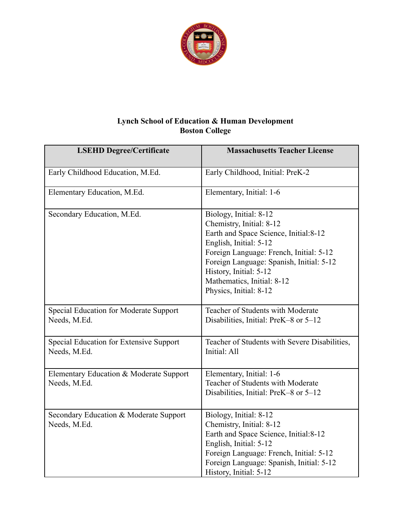

| <b>LSEHD Degree/Certificate</b>                         | <b>Massachusetts Teacher License</b>                                                                                                                                                                                                                                                            |
|---------------------------------------------------------|-------------------------------------------------------------------------------------------------------------------------------------------------------------------------------------------------------------------------------------------------------------------------------------------------|
| Early Childhood Education, M.Ed.                        | Early Childhood, Initial: PreK-2                                                                                                                                                                                                                                                                |
| Elementary Education, M.Ed.                             | Elementary, Initial: 1-6                                                                                                                                                                                                                                                                        |
| Secondary Education, M.Ed.                              | Biology, Initial: 8-12<br>Chemistry, Initial: 8-12<br>Earth and Space Science, Initial: 8-12<br>English, Initial: 5-12<br>Foreign Language: French, Initial: 5-12<br>Foreign Language: Spanish, Initial: 5-12<br>History, Initial: 5-12<br>Mathematics, Initial: 8-12<br>Physics, Initial: 8-12 |
| Special Education for Moderate Support<br>Needs, M.Ed.  | Teacher of Students with Moderate<br>Disabilities, Initial: PreK-8 or 5-12                                                                                                                                                                                                                      |
| Special Education for Extensive Support<br>Needs, M.Ed. | Teacher of Students with Severe Disabilities,<br>Initial: All                                                                                                                                                                                                                                   |
| Elementary Education & Moderate Support<br>Needs, M.Ed. | Elementary, Initial: 1-6<br>Teacher of Students with Moderate<br>Disabilities, Initial: PreK-8 or 5-12                                                                                                                                                                                          |
| Secondary Education & Moderate Support<br>Needs, M.Ed.  | Biology, Initial: 8-12<br>Chemistry, Initial: 8-12<br>Earth and Space Science, Initial:8-12<br>English, Initial: 5-12<br>Foreign Language: French, Initial: 5-12<br>Foreign Language: Spanish, Initial: 5-12<br>History, Initial: 5-12                                                          |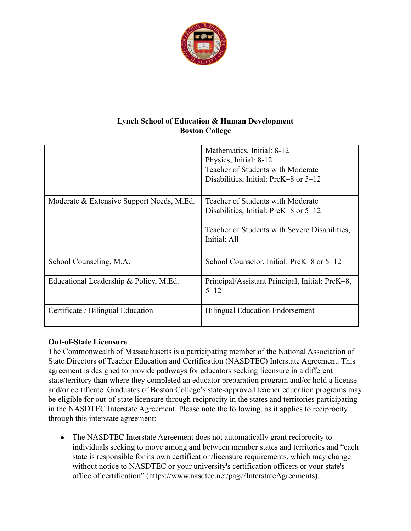

|                                           | Mathematics, Initial: 8-12<br>Physics, Initial: 8-12<br>Teacher of Students with Moderate<br>Disabilities, Initial: PreK-8 or 5-12               |
|-------------------------------------------|--------------------------------------------------------------------------------------------------------------------------------------------------|
| Moderate & Extensive Support Needs, M.Ed. | Teacher of Students with Moderate<br>Disabilities, Initial: Pre $K-8$ or $5-12$<br>Teacher of Students with Severe Disabilities,<br>Initial: All |
| School Counseling, M.A.                   | School Counselor, Initial: PreK–8 or 5–12                                                                                                        |
| Educational Leadership & Policy, M.Ed.    | Principal/Assistant Principal, Initial: PreK–8,<br>$5 - 12$                                                                                      |
| Certificate / Bilingual Education         | <b>Bilingual Education Endorsement</b>                                                                                                           |

# **Out-of-State Licensure**

The Commonwealth of Massachusetts is a participating member of the National Association of State Directors of Teacher Education and Certification (NASDTEC) Interstate Agreement. This agreement is designed to provide pathways for educators seeking licensure in a different state/territory than where they completed an educator preparation program and/or hold a license and/or certificate. Graduates of Boston College's state-approved teacher education programs may be eligible for out-of-state licensure through reciprocity in the states and territories participating in the NASDTEC Interstate Agreement. Please note the following, as it applies to reciprocity through this interstate agreement:

• The NASDTEC Interstate Agreement does not automatically grant reciprocity to individuals seeking to move among and between member states and territories and "each state is responsible for its own certification/licensure requirements, which may change without notice to NASDTEC or your university's certification officers or your state's office of certification" (https://www.nasdtec.net/page/InterstateAgreements).